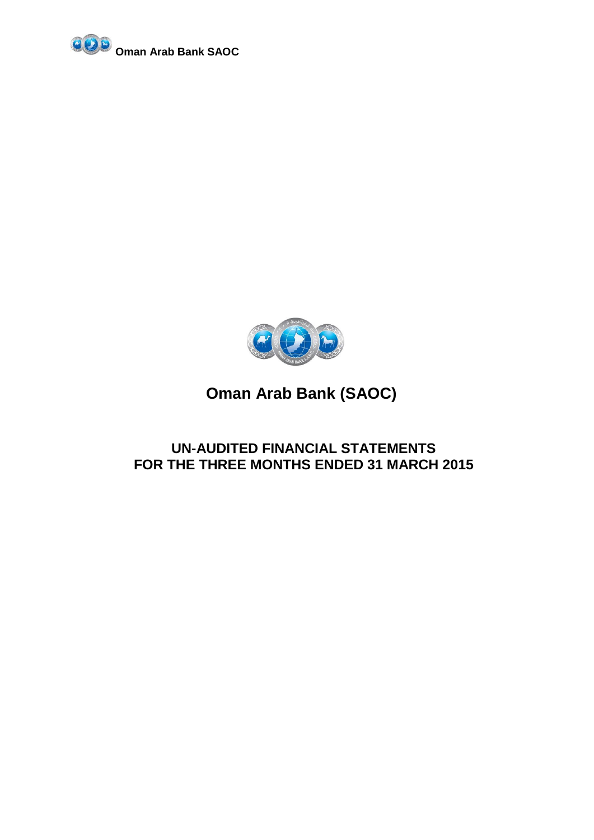



# **UN-AUDITED FINANCIAL STATEMENTS FOR THE THREE MONTHS ENDED 31 MARCH 2015**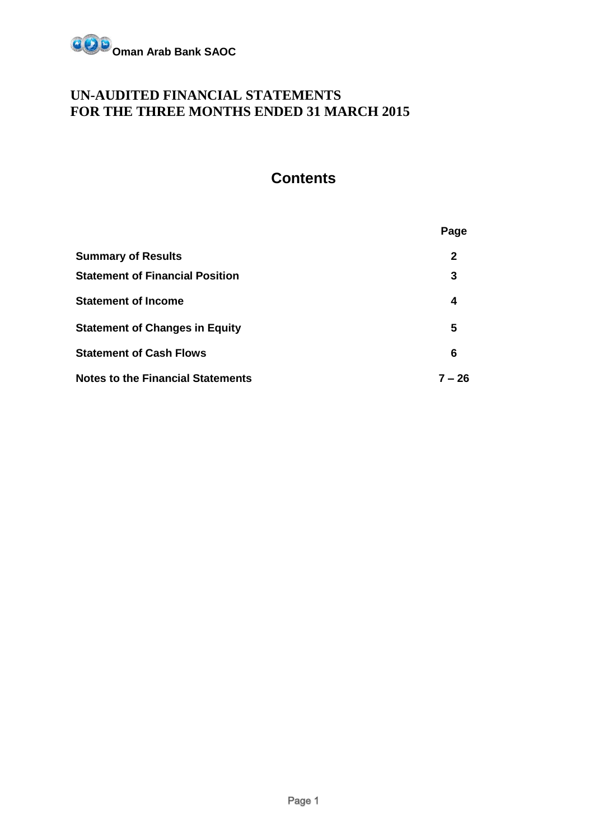

# **Contents**

|                                          | Page     |
|------------------------------------------|----------|
| <b>Summary of Results</b>                | 2        |
| <b>Statement of Financial Position</b>   | 3        |
| <b>Statement of Income</b>               | 4        |
| <b>Statement of Changes in Equity</b>    | 5        |
| <b>Statement of Cash Flows</b>           | 6        |
| <b>Notes to the Financial Statements</b> | $7 - 26$ |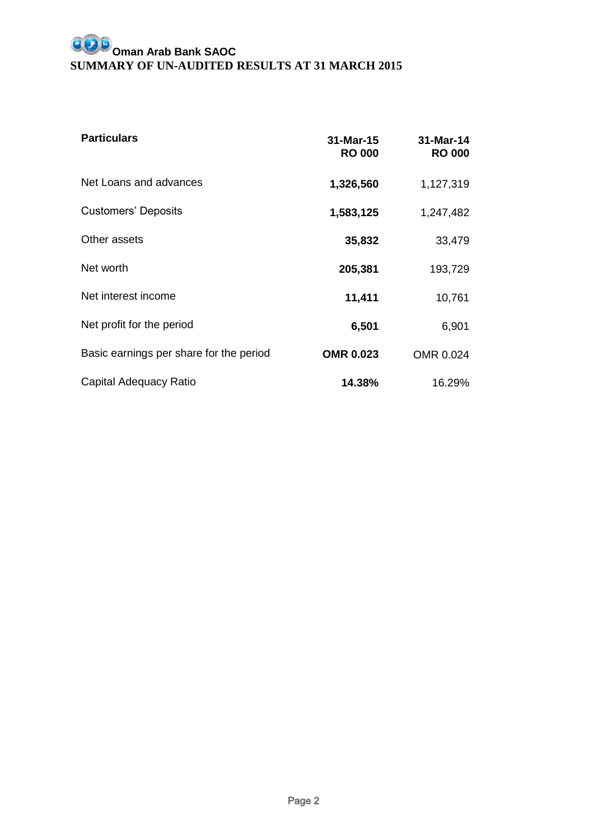# **Oman Arab Bank SAOC SUMMARY OF UN-AUDITED RESULTS AT 31 MARCH 2015**

| <b>Particulars</b>                      | 31-Mar-15<br><b>RO 000</b> | 31-Mar-14<br><b>RO 000</b> |
|-----------------------------------------|----------------------------|----------------------------|
| Net Loans and advances                  | 1,326,560                  | 1,127,319                  |
| <b>Customers' Deposits</b>              | 1,583,125                  | 1,247,482                  |
| Other assets                            | 35,832                     | 33,479                     |
| Net worth                               | 205,381                    | 193,729                    |
| Net interest income                     | 11,411                     | 10,761                     |
| Net profit for the period               | 6,501                      | 6,901                      |
| Basic earnings per share for the period | <b>OMR 0.023</b>           | OMR 0.024                  |
| Capital Adequacy Ratio                  | 14.38%                     | 16.29%                     |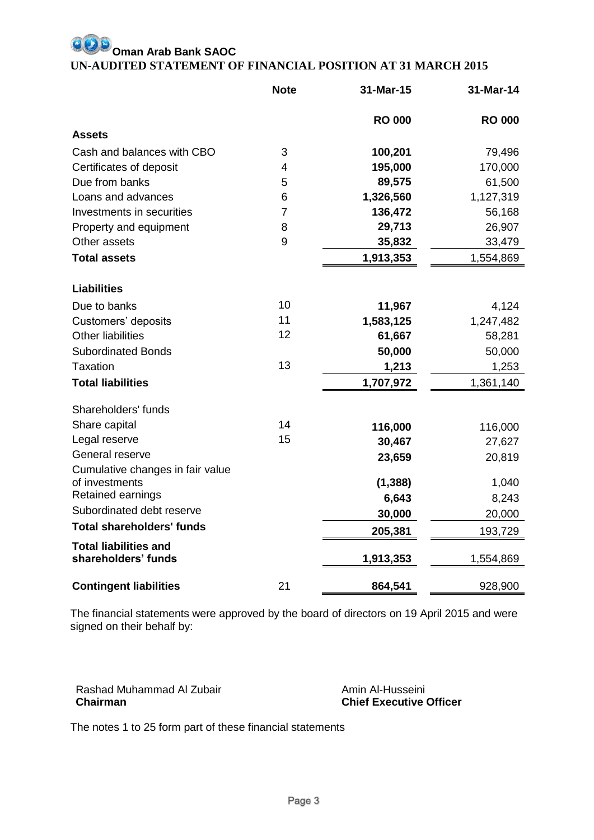# **Oman Arab Bank SAOC UN-AUDITED STATEMENT OF FINANCIAL POSITION AT 31 MARCH 2015**

|                                                     | <b>Note</b>      | 31-Mar-15     | 31-Mar-14     |
|-----------------------------------------------------|------------------|---------------|---------------|
|                                                     |                  | <b>RO 000</b> | <b>RO 000</b> |
| <b>Assets</b>                                       |                  |               |               |
| Cash and balances with CBO                          | 3                | 100,201       | 79,496        |
| Certificates of deposit                             | 4                | 195,000       | 170,000       |
| Due from banks                                      | 5                | 89,575        | 61,500        |
| Loans and advances                                  | 6                | 1,326,560     | 1,127,319     |
| Investments in securities                           | $\overline{7}$   | 136,472       | 56,168        |
| Property and equipment                              | 8                | 29,713        | 26,907        |
| Other assets                                        | $\boldsymbol{9}$ | 35,832        | 33,479        |
| <b>Total assets</b>                                 |                  | 1,913,353     | 1,554,869     |
| <b>Liabilities</b>                                  |                  |               |               |
| Due to banks                                        | 10               | 11,967        | 4,124         |
| Customers' deposits                                 | 11               | 1,583,125     | 1,247,482     |
| <b>Other liabilities</b>                            | 12               | 61,667        | 58,281        |
| <b>Subordinated Bonds</b>                           |                  | 50,000        | 50,000        |
| <b>Taxation</b>                                     | 13               | 1,213         | 1,253         |
| <b>Total liabilities</b>                            |                  | 1,707,972     | 1,361,140     |
|                                                     |                  |               |               |
| Shareholders' funds                                 |                  |               |               |
| Share capital                                       | 14               | 116,000       | 116,000       |
| Legal reserve                                       | 15               | 30,467        | 27,627        |
| General reserve                                     |                  | 23,659        | 20,819        |
| Cumulative changes in fair value                    |                  |               |               |
| of investments                                      |                  | (1, 388)      | 1,040         |
| Retained earnings                                   |                  | 6,643         | 8,243         |
| Subordinated debt reserve                           |                  | 30,000        | 20,000        |
| <b>Total shareholders' funds</b>                    |                  | 205,381       | 193,729       |
| <b>Total liabilities and</b><br>shareholders' funds |                  | 1,913,353     | 1,554,869     |
| <b>Contingent liabilities</b>                       | 21               | 864,541       | 928,900       |

The financial statements were approved by the board of directors on 19 April 2015 and were signed on their behalf by:

Rashad Muhammad Al Zubair **Chairman**

Amin Al-Husseini **Chief Executive Officer**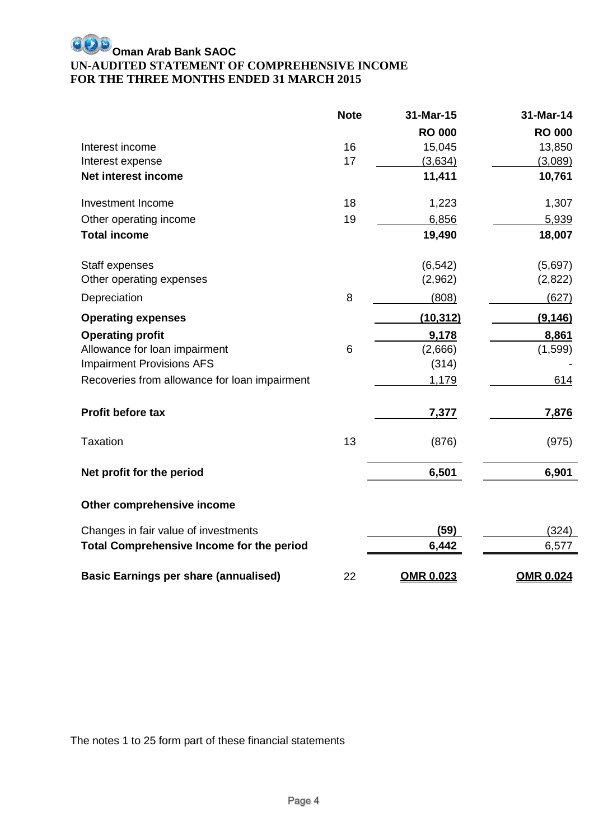# **Oman Arab Bank SAOC UN-AUDITED STATEMENT OF COMPREHENSIVE INCOME FOR THE THREE MONTHS ENDED 31 MARCH 2015**

|                                                  | <b>Note</b>     | 31-Mar-15        | 31-Mar-14        |
|--------------------------------------------------|-----------------|------------------|------------------|
|                                                  |                 | <b>RO 000</b>    | <b>RO 000</b>    |
| Interest income                                  | 16              | 15,045           | 13,850           |
| Interest expense                                 | 17              | (3,634)          | (3,089)          |
| Net interest income                              |                 | 11,411           | 10,761           |
| Investment Income                                | 18              | 1,223            | 1,307            |
| Other operating income                           | 19              | 6,856            | 5,939            |
| <b>Total income</b>                              |                 | 19,490           | 18,007           |
| Staff expenses                                   |                 | (6, 542)         | (5,697)          |
| Other operating expenses                         |                 | (2,962)          | (2,822)          |
| Depreciation                                     | 8               | (808)            | (627)            |
| <b>Operating expenses</b>                        |                 | (10, 312)        | (9, 146)         |
| <b>Operating profit</b>                          |                 | 9,178            | 8,861            |
| Allowance for loan impairment                    | $6\phantom{1}6$ | (2,666)          | (1,599)          |
| <b>Impairment Provisions AFS</b>                 |                 | (314)            |                  |
| Recoveries from allowance for loan impairment    |                 | 1,179            | 614              |
| Profit before tax                                |                 | 7,377            | 7,876            |
| <b>Taxation</b>                                  | 13              | (876)            | (975)            |
| Net profit for the period                        |                 | 6,501            | 6,901            |
| Other comprehensive income                       |                 |                  |                  |
| Changes in fair value of investments             |                 | (59)             | (324)            |
| <b>Total Comprehensive Income for the period</b> |                 | 6,442            | 6,577            |
| <b>Basic Earnings per share (annualised)</b>     | 22              | <b>OMR 0.023</b> | <b>OMR 0.024</b> |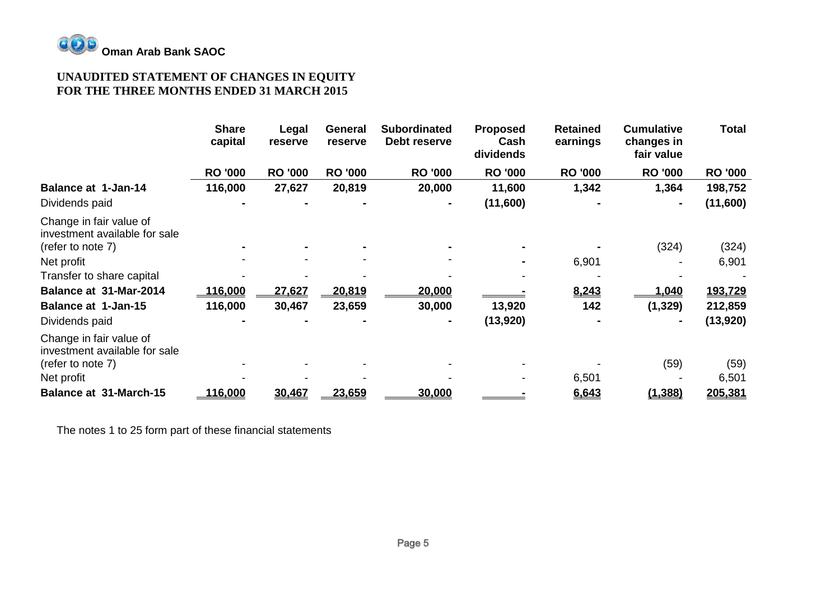

# **UNAUDITED STATEMENT OF CHANGES IN EQUITY FOR THE THREE MONTHS ENDED 31 MARCH 2015**

|                                                          | <b>Share</b><br>capital | Legal<br>reserve | General<br>reserve | <b>Subordinated</b><br>Debt reserve | <b>Proposed</b><br>Cash<br>dividends | <b>Retained</b><br>earnings | <b>Cumulative</b><br>changes in<br>fair value | <b>Total</b>   |
|----------------------------------------------------------|-------------------------|------------------|--------------------|-------------------------------------|--------------------------------------|-----------------------------|-----------------------------------------------|----------------|
|                                                          | <b>RO '000</b>          | <b>RO '000</b>   | <b>RO '000</b>     | <b>RO '000</b>                      | <b>RO '000</b>                       | <b>RO '000</b>              | <b>RO '000</b>                                | <b>RO '000</b> |
| <b>Balance at 1-Jan-14</b>                               | 116,000                 | 27,627           | 20,819             | 20,000                              | 11,600                               | 1,342                       | 1,364                                         | 198,752        |
| Dividends paid                                           |                         |                  |                    |                                     | (11,600)                             |                             |                                               | (11,600)       |
| Change in fair value of<br>investment available for sale |                         |                  |                    |                                     |                                      |                             |                                               |                |
| (refer to note 7)                                        |                         |                  |                    |                                     |                                      |                             | (324)                                         | (324)          |
| Net profit                                               |                         |                  |                    |                                     |                                      | 6,901                       |                                               | 6,901          |
| Transfer to share capital                                |                         |                  |                    |                                     |                                      |                             |                                               |                |
| Balance at 31-Mar-2014                                   | 116,000                 | 27,627           | 20,819             | 20,000                              |                                      | 8,243                       | <u>1,040</u>                                  | 193,729        |
| <b>Balance at 1-Jan-15</b>                               | 116,000                 | 30,467           | 23,659             | 30,000                              | 13,920                               | 142                         | (1, 329)                                      | 212,859        |
| Dividends paid                                           |                         |                  |                    |                                     | (13,920)                             |                             |                                               | (13,920)       |
| Change in fair value of<br>investment available for sale |                         |                  |                    |                                     |                                      |                             |                                               |                |
| (refer to note 7)                                        |                         |                  |                    |                                     |                                      |                             | (59)                                          | (59)           |
| Net profit                                               |                         |                  |                    |                                     |                                      | 6,501                       |                                               | 6,501          |
| <b>Balance at 31-March-15</b>                            | 116,000                 | 30,467           | 23,659             | 30,000                              |                                      | 6,643                       | (1, 388)                                      | 205,381        |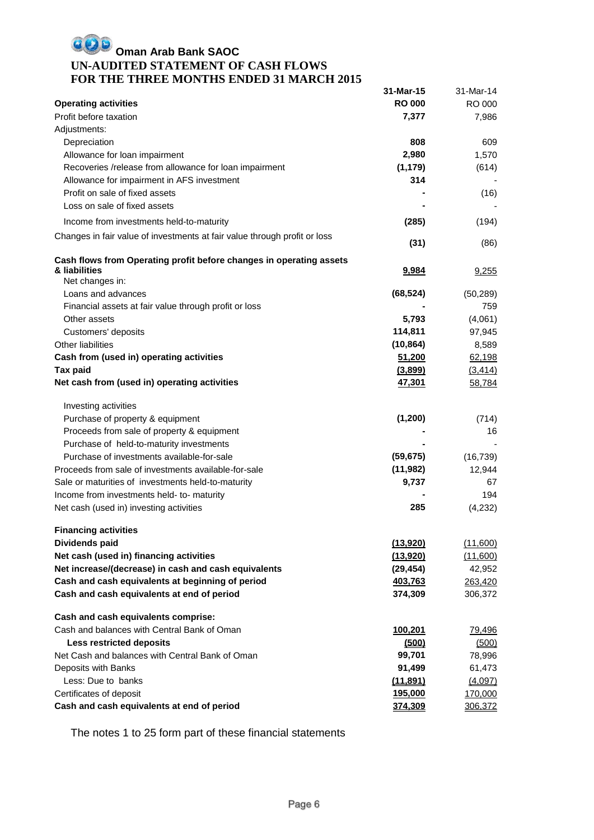# **Oman Arab Bank SAOC UN-AUDITED STATEMENT OF CASH FLOWS FOR THE THREE MONTHS ENDED 31 MARCH 2015**

|                                                                           | 31-Mar-15      | 31-Mar-14      |
|---------------------------------------------------------------------------|----------------|----------------|
| <b>Operating activities</b>                                               | <b>RO 000</b>  | RO 000         |
| Profit before taxation                                                    | 7,377          | 7,986          |
| Adjustments:                                                              |                |                |
| Depreciation                                                              | 808            | 609            |
| Allowance for loan impairment                                             | 2,980          | 1,570          |
| Recoveries /release from allowance for loan impairment                    | (1, 179)       | (614)          |
| Allowance for impairment in AFS investment                                | 314            |                |
| Profit on sale of fixed assets                                            |                | (16)           |
| Loss on sale of fixed assets                                              |                |                |
| Income from investments held-to-maturity                                  | (285)          | (194)          |
| Changes in fair value of investments at fair value through profit or loss |                |                |
|                                                                           | (31)           | (86)           |
| Cash flows from Operating profit before changes in operating assets       |                |                |
| & liabilities                                                             | 9,984          | 9,255          |
| Net changes in:                                                           |                |                |
| Loans and advances                                                        | (68, 524)      | (50, 289)      |
| Financial assets at fair value through profit or loss                     |                | 759            |
| Other assets                                                              | 5,793          | (4,061)        |
| Customers' deposits                                                       | 114,811        | 97,945         |
| Other liabilities                                                         | (10, 864)      | 8,589          |
| Cash from (used in) operating activities                                  | 51,200         | 62,198         |
| <b>Tax paid</b>                                                           | (3,899)        | (3, 414)       |
| Net cash from (used in) operating activities                              | 47,301         | 58,784         |
| Investing activities                                                      |                |                |
| Purchase of property & equipment                                          | (1, 200)       | (714)          |
| Proceeds from sale of property & equipment                                |                | 16             |
| Purchase of held-to-maturity investments                                  |                |                |
| Purchase of investments available-for-sale                                | (59, 675)      | (16, 739)      |
| Proceeds from sale of investments available-for-sale                      | (11, 982)      | 12,944         |
| Sale or maturities of investments held-to-maturity                        | 9,737          | 67             |
| Income from investments held- to- maturity                                |                | 194            |
| Net cash (used in) investing activities                                   | 285            | (4,232)        |
|                                                                           |                |                |
| <b>Financing activities</b><br>Dividends paid                             | (13,920)       | (11,600)       |
| Net cash (used in) financing activities                                   |                |                |
|                                                                           | (13,920)       | (11,600)       |
| Net increase/(decrease) in cash and cash equivalents                      | (29, 454)      | 42,952         |
| Cash and cash equivalents at beginning of period                          | 403,763        | 263,420        |
| Cash and cash equivalents at end of period                                | 374,309        | 306,372        |
| Cash and cash equivalents comprise:                                       |                |                |
| Cash and balances with Central Bank of Oman                               | <u>100,201</u> | <u>79,496</u>  |
| <b>Less restricted deposits</b>                                           | (500)          | (500)          |
| Net Cash and balances with Central Bank of Oman                           | 99,701         | 78,996         |
| Deposits with Banks                                                       | 91,499         | 61,473         |
| Less: Due to banks                                                        | (11, 891)      | (4,097)        |
| Certificates of deposit                                                   | 195,000        | <u>170,000</u> |
| Cash and cash equivalents at end of period                                | <u>374,309</u> | 306,372        |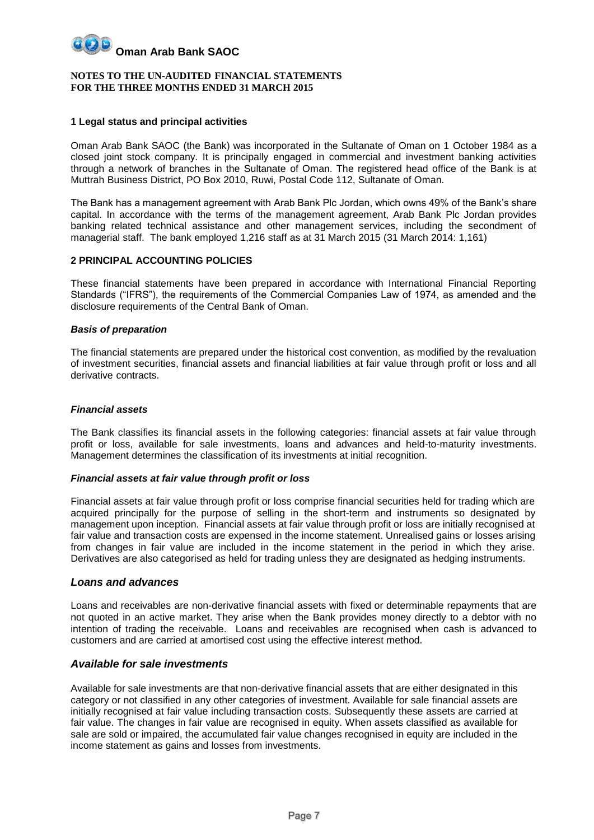#### **NOTES TO THE UN-AUDITED FINANCIAL STATEMENTS FOR THE THREE MONTHS ENDED 31 MARCH 2015**

### **1 Legal status and principal activities**

Oman Arab Bank SAOC (the Bank) was incorporated in the Sultanate of Oman on 1 October 1984 as a closed joint stock company. It is principally engaged in commercial and investment banking activities through a network of branches in the Sultanate of Oman. The registered head office of the Bank is at Muttrah Business District, PO Box 2010, Ruwi, Postal Code 112, Sultanate of Oman.

The Bank has a management agreement with Arab Bank Plc Jordan, which owns 49% of the Bank's share capital. In accordance with the terms of the management agreement, Arab Bank Plc Jordan provides banking related technical assistance and other management services, including the secondment of managerial staff. The bank employed 1,216 staff as at 31 March 2015 (31 March 2014: 1,161)

#### **2 PRINCIPAL ACCOUNTING POLICIES**

These financial statements have been prepared in accordance with International Financial Reporting Standards ("IFRS"), the requirements of the Commercial Companies Law of 1974, as amended and the disclosure requirements of the Central Bank of Oman.

#### *Basis of preparation*

The financial statements are prepared under the historical cost convention, as modified by the revaluation of investment securities, financial assets and financial liabilities at fair value through profit or loss and all derivative contracts.

#### *Financial assets*

The Bank classifies its financial assets in the following categories: financial assets at fair value through profit or loss, available for sale investments, loans and advances and held-to-maturity investments. Management determines the classification of its investments at initial recognition.

#### *Financial assets at fair value through profit or loss*

Financial assets at fair value through profit or loss comprise financial securities held for trading which are acquired principally for the purpose of selling in the short-term and instruments so designated by management upon inception. Financial assets at fair value through profit or loss are initially recognised at fair value and transaction costs are expensed in the income statement. Unrealised gains or losses arising from changes in fair value are included in the income statement in the period in which they arise. Derivatives are also categorised as held for trading unless they are designated as hedging instruments.

#### *Loans and advances*

Loans and receivables are non-derivative financial assets with fixed or determinable repayments that are not quoted in an active market. They arise when the Bank provides money directly to a debtor with no intention of trading the receivable. Loans and receivables are recognised when cash is advanced to customers and are carried at amortised cost using the effective interest method.

# *Available for sale investments*

Available for sale investments are that non-derivative financial assets that are either designated in this category or not classified in any other categories of investment. Available for sale financial assets are initially recognised at fair value including transaction costs. Subsequently these assets are carried at fair value. The changes in fair value are recognised in equity. When assets classified as available for sale are sold or impaired, the accumulated fair value changes recognised in equity are included in the income statement as gains and losses from investments.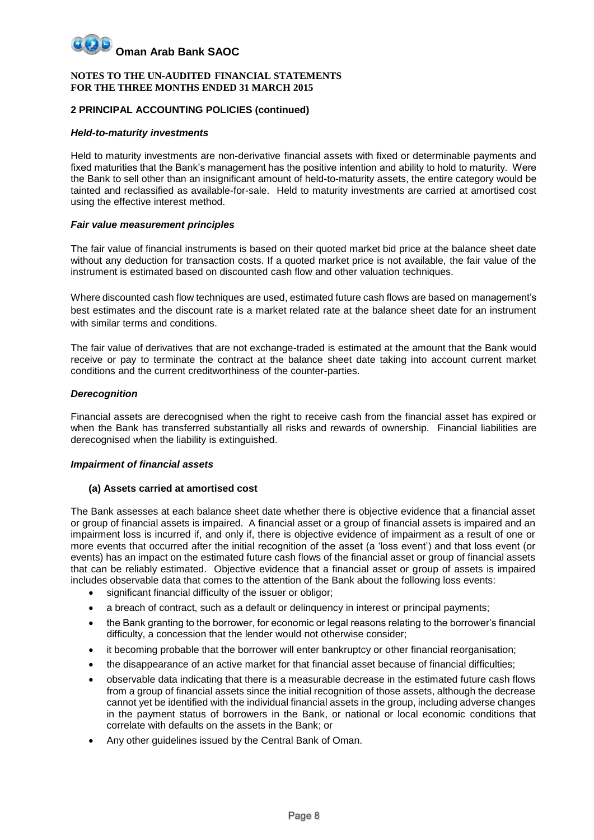#### **NOTES TO THE UN-AUDITED FINANCIAL STATEMENTS FOR THE THREE MONTHS ENDED 31 MARCH 2015**

# **2 PRINCIPAL ACCOUNTING POLICIES (continued)**

#### *Held-to-maturity investments*

Held to maturity investments are non-derivative financial assets with fixed or determinable payments and fixed maturities that the Bank's management has the positive intention and ability to hold to maturity. Were the Bank to sell other than an insignificant amount of held-to-maturity assets, the entire category would be tainted and reclassified as available-for-sale. Held to maturity investments are carried at amortised cost using the effective interest method.

#### *Fair value measurement principles*

The fair value of financial instruments is based on their quoted market bid price at the balance sheet date without any deduction for transaction costs. If a quoted market price is not available, the fair value of the instrument is estimated based on discounted cash flow and other valuation techniques.

Where discounted cash flow techniques are used, estimated future cash flows are based on management's best estimates and the discount rate is a market related rate at the balance sheet date for an instrument with similar terms and conditions.

The fair value of derivatives that are not exchange-traded is estimated at the amount that the Bank would receive or pay to terminate the contract at the balance sheet date taking into account current market conditions and the current creditworthiness of the counter-parties.

# *Derecognition*

Financial assets are derecognised when the right to receive cash from the financial asset has expired or when the Bank has transferred substantially all risks and rewards of ownership. Financial liabilities are derecognised when the liability is extinguished.

#### *Impairment of financial assets*

#### **(a) Assets carried at amortised cost**

The Bank assesses at each balance sheet date whether there is objective evidence that a financial asset or group of financial assets is impaired. A financial asset or a group of financial assets is impaired and an impairment loss is incurred if, and only if, there is objective evidence of impairment as a result of one or more events that occurred after the initial recognition of the asset (a 'loss event') and that loss event (or events) has an impact on the estimated future cash flows of the financial asset or group of financial assets that can be reliably estimated. Objective evidence that a financial asset or group of assets is impaired includes observable data that comes to the attention of the Bank about the following loss events:

- significant financial difficulty of the issuer or obligor;
- a breach of contract, such as a default or delinquency in interest or principal payments;
- the Bank granting to the borrower, for economic or legal reasons relating to the borrower's financial difficulty, a concession that the lender would not otherwise consider;
- it becoming probable that the borrower will enter bankruptcy or other financial reorganisation;
- the disappearance of an active market for that financial asset because of financial difficulties;
- observable data indicating that there is a measurable decrease in the estimated future cash flows from a group of financial assets since the initial recognition of those assets, although the decrease cannot yet be identified with the individual financial assets in the group, including adverse changes in the payment status of borrowers in the Bank, or national or local economic conditions that correlate with defaults on the assets in the Bank; or
- Any other guidelines issued by the Central Bank of Oman.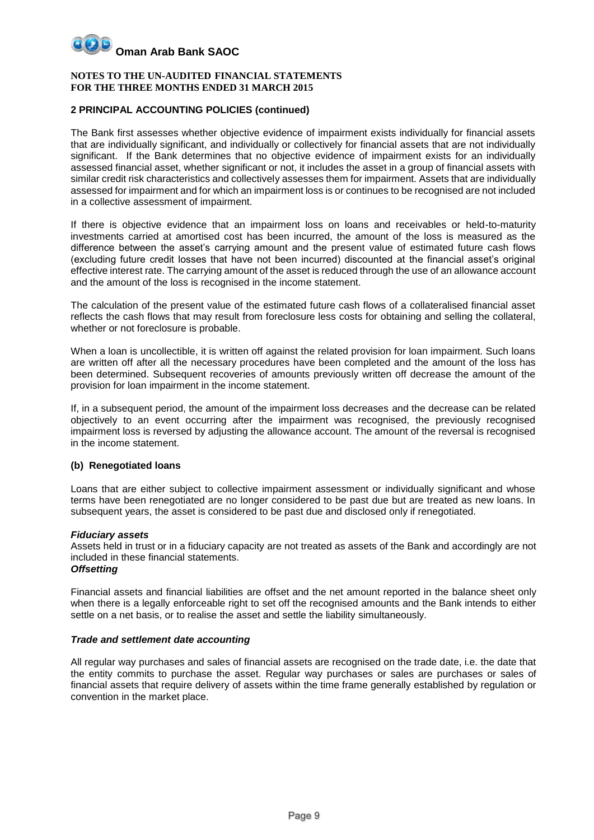#### **NOTES TO THE UN-AUDITED FINANCIAL STATEMENTS FOR THE THREE MONTHS ENDED 31 MARCH 2015**

# **2 PRINCIPAL ACCOUNTING POLICIES (continued)**

The Bank first assesses whether objective evidence of impairment exists individually for financial assets that are individually significant, and individually or collectively for financial assets that are not individually significant. If the Bank determines that no objective evidence of impairment exists for an individually assessed financial asset, whether significant or not, it includes the asset in a group of financial assets with similar credit risk characteristics and collectively assesses them for impairment. Assets that are individually assessed for impairment and for which an impairment loss is or continues to be recognised are not included in a collective assessment of impairment.

If there is objective evidence that an impairment loss on loans and receivables or held-to-maturity investments carried at amortised cost has been incurred, the amount of the loss is measured as the difference between the asset's carrying amount and the present value of estimated future cash flows (excluding future credit losses that have not been incurred) discounted at the financial asset's original effective interest rate. The carrying amount of the asset is reduced through the use of an allowance account and the amount of the loss is recognised in the income statement.

The calculation of the present value of the estimated future cash flows of a collateralised financial asset reflects the cash flows that may result from foreclosure less costs for obtaining and selling the collateral, whether or not foreclosure is probable.

When a loan is uncollectible, it is written off against the related provision for loan impairment. Such loans are written off after all the necessary procedures have been completed and the amount of the loss has been determined. Subsequent recoveries of amounts previously written off decrease the amount of the provision for loan impairment in the income statement.

If, in a subsequent period, the amount of the impairment loss decreases and the decrease can be related objectively to an event occurring after the impairment was recognised, the previously recognised impairment loss is reversed by adjusting the allowance account. The amount of the reversal is recognised in the income statement.

# **(b) Renegotiated loans**

Loans that are either subject to collective impairment assessment or individually significant and whose terms have been renegotiated are no longer considered to be past due but are treated as new loans. In subsequent years, the asset is considered to be past due and disclosed only if renegotiated.

#### *Fiduciary assets*

Assets held in trust or in a fiduciary capacity are not treated as assets of the Bank and accordingly are not included in these financial statements.

#### *Offsetting*

Financial assets and financial liabilities are offset and the net amount reported in the balance sheet only when there is a legally enforceable right to set off the recognised amounts and the Bank intends to either settle on a net basis, or to realise the asset and settle the liability simultaneously.

#### *Trade and settlement date accounting*

All regular way purchases and sales of financial assets are recognised on the trade date, i.e. the date that the entity commits to purchase the asset. Regular way purchases or sales are purchases or sales of financial assets that require delivery of assets within the time frame generally established by regulation or convention in the market place.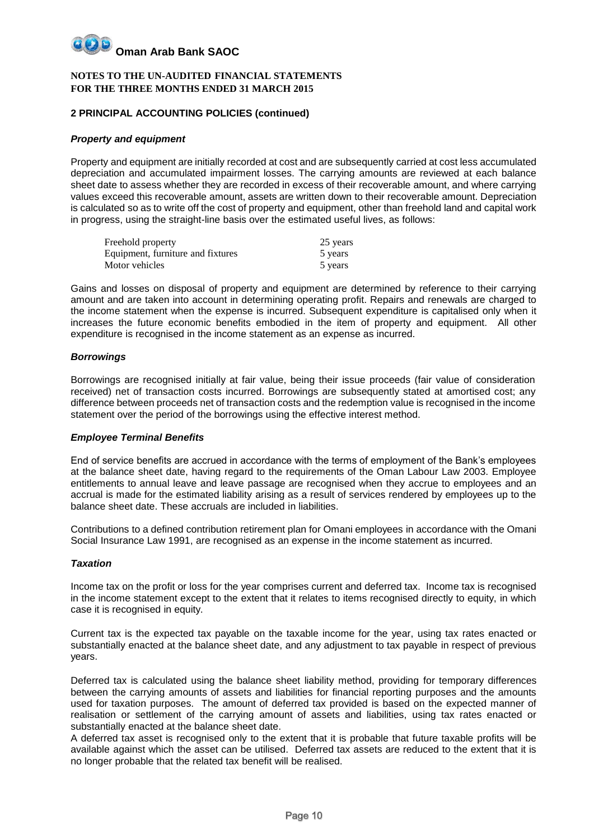#### **NOTES TO THE UN-AUDITED FINANCIAL STATEMENTS FOR THE THREE MONTHS ENDED 31 MARCH 2015**

# **2 PRINCIPAL ACCOUNTING POLICIES (continued)**

### *Property and equipment*

Property and equipment are initially recorded at cost and are subsequently carried at cost less accumulated depreciation and accumulated impairment losses. The carrying amounts are reviewed at each balance sheet date to assess whether they are recorded in excess of their recoverable amount, and where carrying values exceed this recoverable amount, assets are written down to their recoverable amount. Depreciation is calculated so as to write off the cost of property and equipment, other than freehold land and capital work in progress, using the straight-line basis over the estimated useful lives, as follows:

| Freehold property                 | 25 years |
|-----------------------------------|----------|
| Equipment, furniture and fixtures | 5 years  |
| Motor vehicles                    | 5 years  |

Gains and losses on disposal of property and equipment are determined by reference to their carrying amount and are taken into account in determining operating profit. Repairs and renewals are charged to the income statement when the expense is incurred. Subsequent expenditure is capitalised only when it increases the future economic benefits embodied in the item of property and equipment. All other expenditure is recognised in the income statement as an expense as incurred.

# *Borrowings*

Borrowings are recognised initially at fair value, being their issue proceeds (fair value of consideration received) net of transaction costs incurred. Borrowings are subsequently stated at amortised cost; any difference between proceeds net of transaction costs and the redemption value is recognised in the income statement over the period of the borrowings using the effective interest method.

#### *Employee Terminal Benefits*

End of service benefits are accrued in accordance with the terms of employment of the Bank's employees at the balance sheet date, having regard to the requirements of the Oman Labour Law 2003. Employee entitlements to annual leave and leave passage are recognised when they accrue to employees and an accrual is made for the estimated liability arising as a result of services rendered by employees up to the balance sheet date. These accruals are included in liabilities.

Contributions to a defined contribution retirement plan for Omani employees in accordance with the Omani Social Insurance Law 1991, are recognised as an expense in the income statement as incurred.

### *Taxation*

Income tax on the profit or loss for the year comprises current and deferred tax. Income tax is recognised in the income statement except to the extent that it relates to items recognised directly to equity, in which case it is recognised in equity.

Current tax is the expected tax payable on the taxable income for the year, using tax rates enacted or substantially enacted at the balance sheet date, and any adjustment to tax payable in respect of previous years.

Deferred tax is calculated using the balance sheet liability method, providing for temporary differences between the carrying amounts of assets and liabilities for financial reporting purposes and the amounts used for taxation purposes. The amount of deferred tax provided is based on the expected manner of realisation or settlement of the carrying amount of assets and liabilities, using tax rates enacted or substantially enacted at the balance sheet date.

A deferred tax asset is recognised only to the extent that it is probable that future taxable profits will be available against which the asset can be utilised. Deferred tax assets are reduced to the extent that it is no longer probable that the related tax benefit will be realised.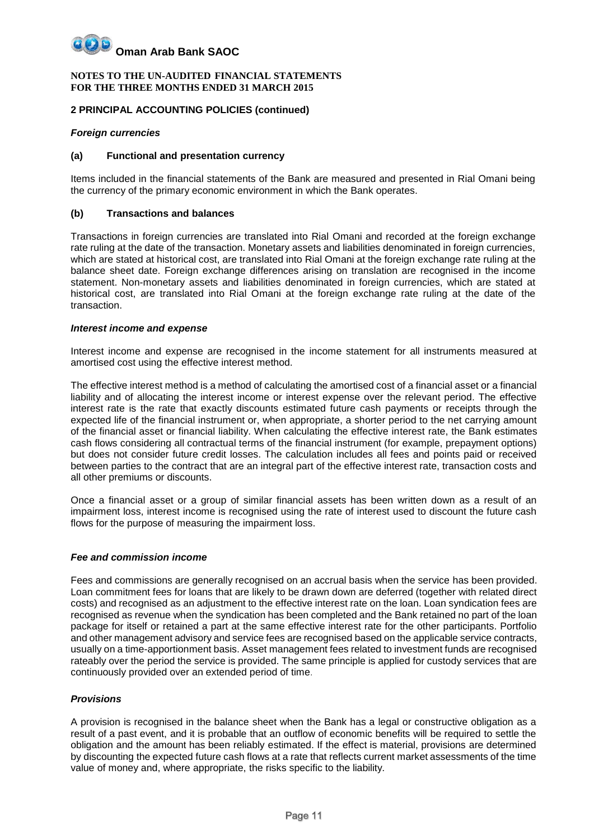#### **NOTES TO THE UN-AUDITED FINANCIAL STATEMENTS FOR THE THREE MONTHS ENDED 31 MARCH 2015**

# **2 PRINCIPAL ACCOUNTING POLICIES (continued)**

### *Foreign currencies*

### **(a) Functional and presentation currency**

Items included in the financial statements of the Bank are measured and presented in Rial Omani being the currency of the primary economic environment in which the Bank operates.

#### **(b) Transactions and balances**

Transactions in foreign currencies are translated into Rial Omani and recorded at the foreign exchange rate ruling at the date of the transaction. Monetary assets and liabilities denominated in foreign currencies, which are stated at historical cost, are translated into Rial Omani at the foreign exchange rate ruling at the balance sheet date. Foreign exchange differences arising on translation are recognised in the income statement. Non-monetary assets and liabilities denominated in foreign currencies, which are stated at historical cost, are translated into Rial Omani at the foreign exchange rate ruling at the date of the transaction.

# *Interest income and expense*

Interest income and expense are recognised in the income statement for all instruments measured at amortised cost using the effective interest method.

The effective interest method is a method of calculating the amortised cost of a financial asset or a financial liability and of allocating the interest income or interest expense over the relevant period. The effective interest rate is the rate that exactly discounts estimated future cash payments or receipts through the expected life of the financial instrument or, when appropriate, a shorter period to the net carrying amount of the financial asset or financial liability. When calculating the effective interest rate, the Bank estimates cash flows considering all contractual terms of the financial instrument (for example, prepayment options) but does not consider future credit losses. The calculation includes all fees and points paid or received between parties to the contract that are an integral part of the effective interest rate, transaction costs and all other premiums or discounts.

Once a financial asset or a group of similar financial assets has been written down as a result of an impairment loss, interest income is recognised using the rate of interest used to discount the future cash flows for the purpose of measuring the impairment loss.

# *Fee and commission income*

Fees and commissions are generally recognised on an accrual basis when the service has been provided. Loan commitment fees for loans that are likely to be drawn down are deferred (together with related direct costs) and recognised as an adjustment to the effective interest rate on the loan. Loan syndication fees are recognised as revenue when the syndication has been completed and the Bank retained no part of the loan package for itself or retained a part at the same effective interest rate for the other participants. Portfolio and other management advisory and service fees are recognised based on the applicable service contracts, usually on a time-apportionment basis. Asset management fees related to investment funds are recognised rateably over the period the service is provided. The same principle is applied for custody services that are continuously provided over an extended period of time.

# *Provisions*

A provision is recognised in the balance sheet when the Bank has a legal or constructive obligation as a result of a past event, and it is probable that an outflow of economic benefits will be required to settle the obligation and the amount has been reliably estimated. If the effect is material, provisions are determined by discounting the expected future cash flows at a rate that reflects current market assessments of the time value of money and, where appropriate, the risks specific to the liability.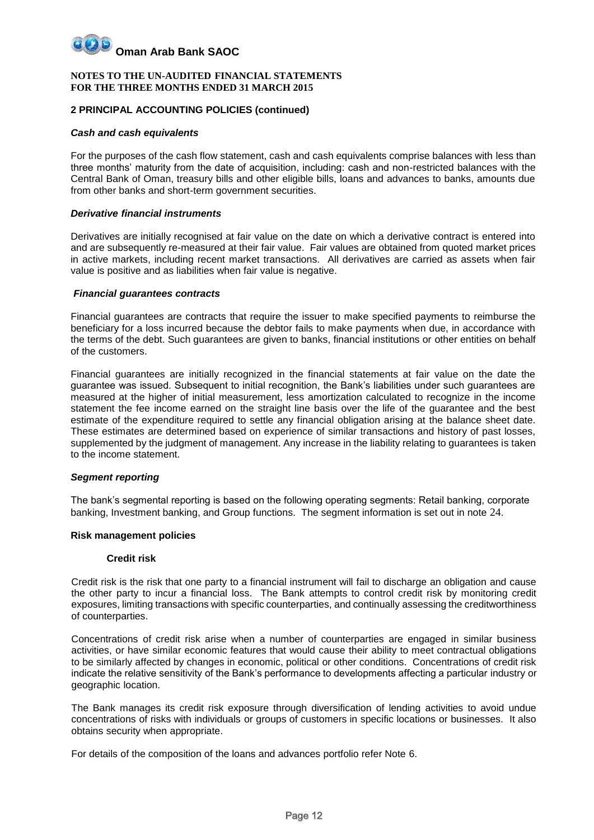#### **NOTES TO THE UN-AUDITED FINANCIAL STATEMENTS FOR THE THREE MONTHS ENDED 31 MARCH 2015**

# **2 PRINCIPAL ACCOUNTING POLICIES (continued)**

#### *Cash and cash equivalents*

For the purposes of the cash flow statement, cash and cash equivalents comprise balances with less than three months' maturity from the date of acquisition, including: cash and non-restricted balances with the Central Bank of Oman, treasury bills and other eligible bills, loans and advances to banks, amounts due from other banks and short-term government securities.

#### *Derivative financial instruments*

Derivatives are initially recognised at fair value on the date on which a derivative contract is entered into and are subsequently re-measured at their fair value. Fair values are obtained from quoted market prices in active markets, including recent market transactions. All derivatives are carried as assets when fair value is positive and as liabilities when fair value is negative.

#### *Financial guarantees contracts*

Financial guarantees are contracts that require the issuer to make specified payments to reimburse the beneficiary for a loss incurred because the debtor fails to make payments when due, in accordance with the terms of the debt. Such guarantees are given to banks, financial institutions or other entities on behalf of the customers.

Financial guarantees are initially recognized in the financial statements at fair value on the date the guarantee was issued. Subsequent to initial recognition, the Bank's liabilities under such guarantees are measured at the higher of initial measurement, less amortization calculated to recognize in the income statement the fee income earned on the straight line basis over the life of the guarantee and the best estimate of the expenditure required to settle any financial obligation arising at the balance sheet date. These estimates are determined based on experience of similar transactions and history of past losses, supplemented by the judgment of management. Any increase in the liability relating to guarantees is taken to the income statement.

#### *Segment reporting*

The bank's segmental reporting is based on the following operating segments: Retail banking, corporate banking, Investment banking, and Group functions. The segment information is set out in note 24.

#### **Risk management policies**

#### **Credit risk**

Credit risk is the risk that one party to a financial instrument will fail to discharge an obligation and cause the other party to incur a financial loss. The Bank attempts to control credit risk by monitoring credit exposures, limiting transactions with specific counterparties, and continually assessing the creditworthiness of counterparties.

Concentrations of credit risk arise when a number of counterparties are engaged in similar business activities, or have similar economic features that would cause their ability to meet contractual obligations to be similarly affected by changes in economic, political or other conditions. Concentrations of credit risk indicate the relative sensitivity of the Bank's performance to developments affecting a particular industry or geographic location.

The Bank manages its credit risk exposure through diversification of lending activities to avoid undue concentrations of risks with individuals or groups of customers in specific locations or businesses. It also obtains security when appropriate.

For details of the composition of the loans and advances portfolio refer Note 6.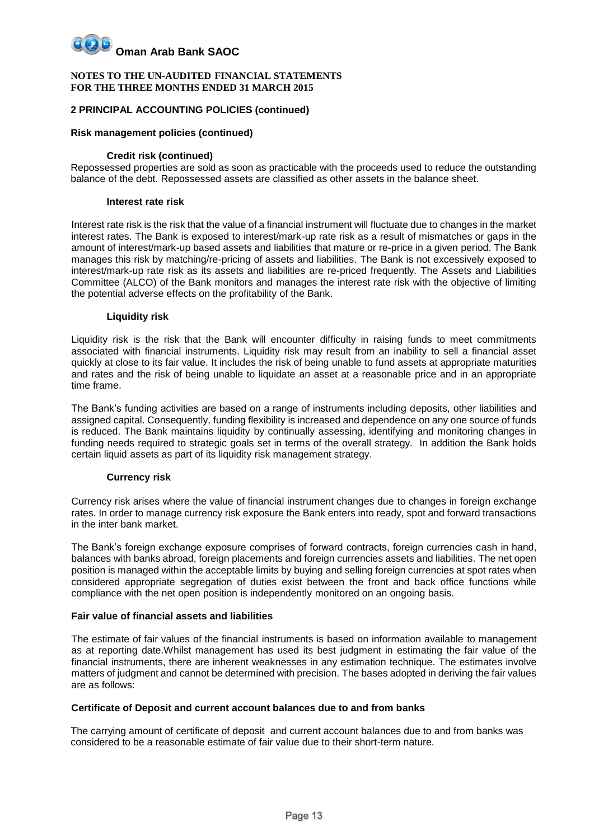#### **NOTES TO THE UN-AUDITED FINANCIAL STATEMENTS FOR THE THREE MONTHS ENDED 31 MARCH 2015**

# **2 PRINCIPAL ACCOUNTING POLICIES (continued)**

#### **Risk management policies (continued)**

#### **Credit risk (continued)**

Repossessed properties are sold as soon as practicable with the proceeds used to reduce the outstanding balance of the debt. Repossessed assets are classified as other assets in the balance sheet.

#### **Interest rate risk**

Interest rate risk is the risk that the value of a financial instrument will fluctuate due to changes in the market interest rates. The Bank is exposed to interest/mark-up rate risk as a result of mismatches or gaps in the amount of interest/mark-up based assets and liabilities that mature or re-price in a given period. The Bank manages this risk by matching/re-pricing of assets and liabilities. The Bank is not excessively exposed to interest/mark-up rate risk as its assets and liabilities are re-priced frequently. The Assets and Liabilities Committee (ALCO) of the Bank monitors and manages the interest rate risk with the objective of limiting the potential adverse effects on the profitability of the Bank.

#### **Liquidity risk**

Liquidity risk is the risk that the Bank will encounter difficulty in raising funds to meet commitments associated with financial instruments. Liquidity risk may result from an inability to sell a financial asset quickly at close to its fair value. It includes the risk of being unable to fund assets at appropriate maturities and rates and the risk of being unable to liquidate an asset at a reasonable price and in an appropriate time frame.

The Bank's funding activities are based on a range of instruments including deposits, other liabilities and assigned capital. Consequently, funding flexibility is increased and dependence on any one source of funds is reduced. The Bank maintains liquidity by continually assessing, identifying and monitoring changes in funding needs required to strategic goals set in terms of the overall strategy. In addition the Bank holds certain liquid assets as part of its liquidity risk management strategy.

#### **Currency risk**

Currency risk arises where the value of financial instrument changes due to changes in foreign exchange rates. In order to manage currency risk exposure the Bank enters into ready, spot and forward transactions in the inter bank market.

The Bank's foreign exchange exposure comprises of forward contracts, foreign currencies cash in hand, balances with banks abroad, foreign placements and foreign currencies assets and liabilities. The net open position is managed within the acceptable limits by buying and selling foreign currencies at spot rates when considered appropriate segregation of duties exist between the front and back office functions while compliance with the net open position is independently monitored on an ongoing basis.

#### **Fair value of financial assets and liabilities**

The estimate of fair values of the financial instruments is based on information available to management as at reporting date.Whilst management has used its best judgment in estimating the fair value of the financial instruments, there are inherent weaknesses in any estimation technique. The estimates involve matters of judgment and cannot be determined with precision. The bases adopted in deriving the fair values are as follows:

#### **Certificate of Deposit and current account balances due to and from banks**

The carrying amount of certificate of deposit and current account balances due to and from banks was considered to be a reasonable estimate of fair value due to their short-term nature.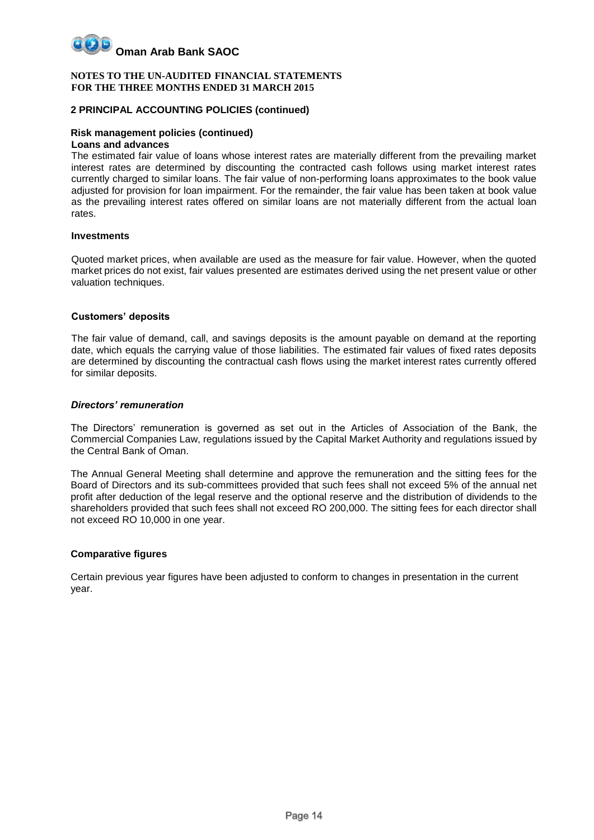

#### **2 PRINCIPAL ACCOUNTING POLICIES (continued)**

#### **Risk management policies (continued)**

#### **Loans and advances**

The estimated fair value of loans whose interest rates are materially different from the prevailing market interest rates are determined by discounting the contracted cash follows using market interest rates currently charged to similar loans. The fair value of non-performing loans approximates to the book value adjusted for provision for loan impairment. For the remainder, the fair value has been taken at book value as the prevailing interest rates offered on similar loans are not materially different from the actual loan rates.

### **Investments**

Quoted market prices, when available are used as the measure for fair value. However, when the quoted market prices do not exist, fair values presented are estimates derived using the net present value or other valuation techniques.

#### **Customers' deposits**

The fair value of demand, call, and savings deposits is the amount payable on demand at the reporting date, which equals the carrying value of those liabilities. The estimated fair values of fixed rates deposits are determined by discounting the contractual cash flows using the market interest rates currently offered for similar deposits.

#### *Directors' remuneration*

The Directors' remuneration is governed as set out in the Articles of Association of the Bank, the Commercial Companies Law, regulations issued by the Capital Market Authority and regulations issued by the Central Bank of Oman.

The Annual General Meeting shall determine and approve the remuneration and the sitting fees for the Board of Directors and its sub-committees provided that such fees shall not exceed 5% of the annual net profit after deduction of the legal reserve and the optional reserve and the distribution of dividends to the shareholders provided that such fees shall not exceed RO 200,000. The sitting fees for each director shall not exceed RO 10,000 in one year.

#### **Comparative figures**

Certain previous year figures have been adjusted to conform to changes in presentation in the current year.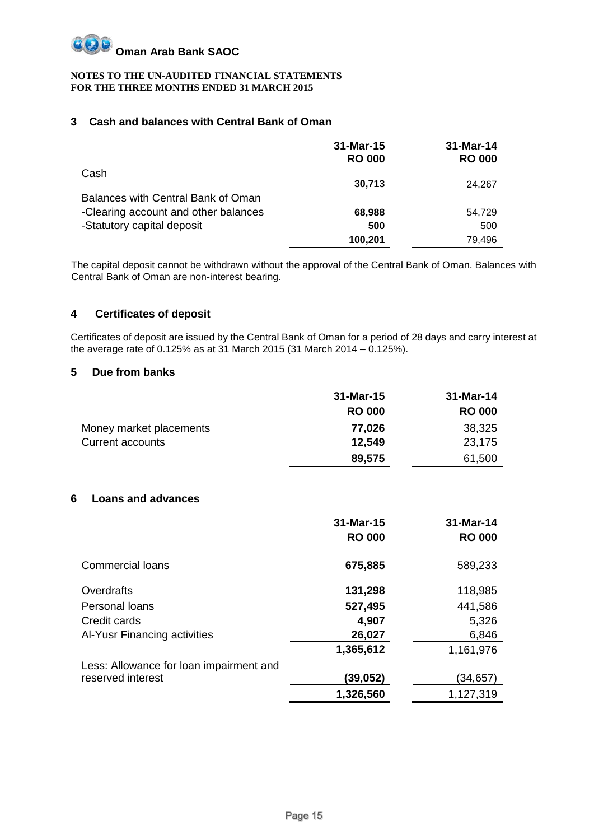

# **3 Cash and balances with Central Bank of Oman**

|                                      | 31-Mar-15<br><b>RO 000</b> | 31-Mar-14<br><b>RO 000</b> |
|--------------------------------------|----------------------------|----------------------------|
| Cash                                 | 30.713                     | 24,267                     |
| Balances with Central Bank of Oman   |                            |                            |
| -Clearing account and other balances | 68,988                     | 54,729                     |
| -Statutory capital deposit           | 500                        | 500                        |
|                                      | 100,201                    | 79.496                     |

The capital deposit cannot be withdrawn without the approval of the Central Bank of Oman. Balances with Central Bank of Oman are non-interest bearing.

# **4 Certificates of deposit**

Certificates of deposit are issued by the Central Bank of Oman for a period of 28 days and carry interest at the average rate of 0.125% as at 31 March 2015 (31 March 2014 – 0.125%).

# **5 Due from banks**

|                         | 31-Mar-15     | 31-Mar-14     |
|-------------------------|---------------|---------------|
|                         | <b>RO 000</b> | <b>RO 000</b> |
| Money market placements | 77,026        | 38,325        |
| <b>Current accounts</b> | 12,549        | 23,175        |
|                         | 89,575        | 61,500        |

# **6 Loans and advances**

|                                         | 31-Mar-15<br><b>RO 000</b> | 31-Mar-14<br><b>RO 000</b> |
|-----------------------------------------|----------------------------|----------------------------|
| <b>Commercial loans</b>                 | 675,885                    | 589,233                    |
| Overdrafts                              | 131,298                    | 118,985                    |
| Personal loans                          | 527,495                    | 441,586                    |
| Credit cards                            | 4,907                      | 5,326                      |
| Al-Yusr Financing activities            | 26,027                     | 6,846                      |
|                                         | 1,365,612                  | 1,161,976                  |
| Less: Allowance for loan impairment and |                            |                            |
| reserved interest                       | (39,052)                   | (34, 657)                  |
|                                         | 1,326,560                  | 1,127,319                  |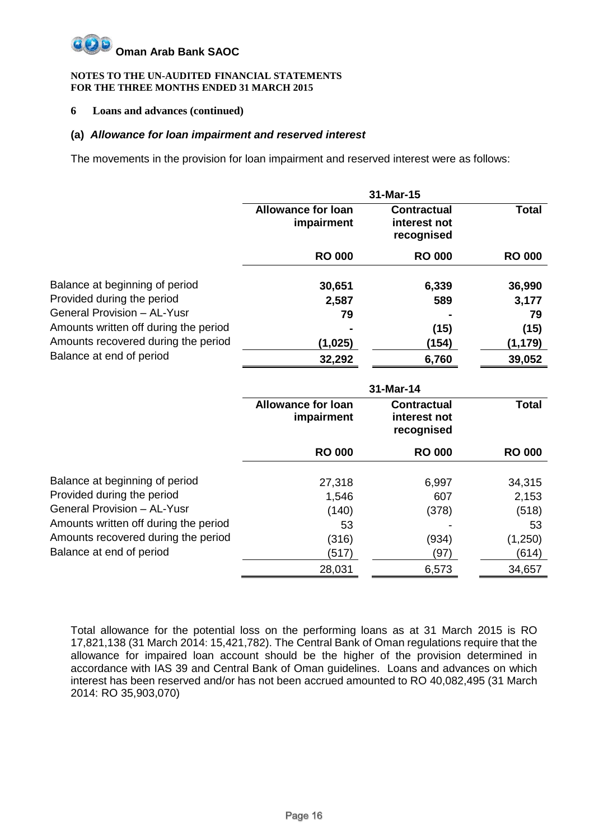#### **NOTES TO THE UN-AUDITED FINANCIAL STATEMENTS FOR THE THREE MONTHS ENDED 31 MARCH 2015**

# **6 Loans and advances (continued)**

# **(a)** *Allowance for loan impairment and reserved interest*

The movements in the provision for loan impairment and reserved interest were as follows:

|                                       |                                         | 31-Mar-15                                        |               |
|---------------------------------------|-----------------------------------------|--------------------------------------------------|---------------|
|                                       | <b>Allowance for loan</b><br>impairment | <b>Contractual</b><br>interest not<br>recognised | <b>Total</b>  |
|                                       | <b>RO 000</b>                           | <b>RO 000</b>                                    | <b>RO 000</b> |
| Balance at beginning of period        | 30,651                                  | 6,339                                            | 36,990        |
| Provided during the period            | 2,587                                   | 589                                              | 3,177         |
| <b>General Provision - AL-Yusr</b>    | 79                                      |                                                  | 79            |
| Amounts written off during the period |                                         | (15)                                             | (15)          |
| Amounts recovered during the period   | (1,025)                                 | (154)                                            | (1, 179)      |
| Balance at end of period              | 32,292                                  | 6,760                                            | 39,052        |
|                                       |                                         | 31-Mar-14                                        |               |
|                                       |                                         |                                                  |               |
|                                       | <b>Allowance for loan</b><br>impairment | <b>Contractual</b><br>interest not<br>recognised | <b>Total</b>  |
|                                       | <b>RO 000</b>                           | <b>RO 000</b>                                    | <b>RO 000</b> |
| Balance at beginning of period        | 27,318                                  | 6,997                                            | 34,315        |
| Provided during the period            | 1,546                                   | 607                                              | 2,153         |
| <b>General Provision - AL-Yusr</b>    | (140)                                   | (378)                                            | (518)         |
| Amounts written off during the period | 53                                      |                                                  | 53            |
| Amounts recovered during the period   | (316)                                   | (934)                                            | (1,250)       |
| Balance at end of period              | (517)                                   | (97)                                             | (614)         |

Total allowance for the potential loss on the performing loans as at 31 March 2015 is RO 17,821,138 (31 March 2014: 15,421,782). The Central Bank of Oman regulations require that the allowance for impaired loan account should be the higher of the provision determined in accordance with IAS 39 and Central Bank of Oman guidelines. Loans and advances on which interest has been reserved and/or has not been accrued amounted to RO 40,082,495 (31 March 2014: RO 35,903,070)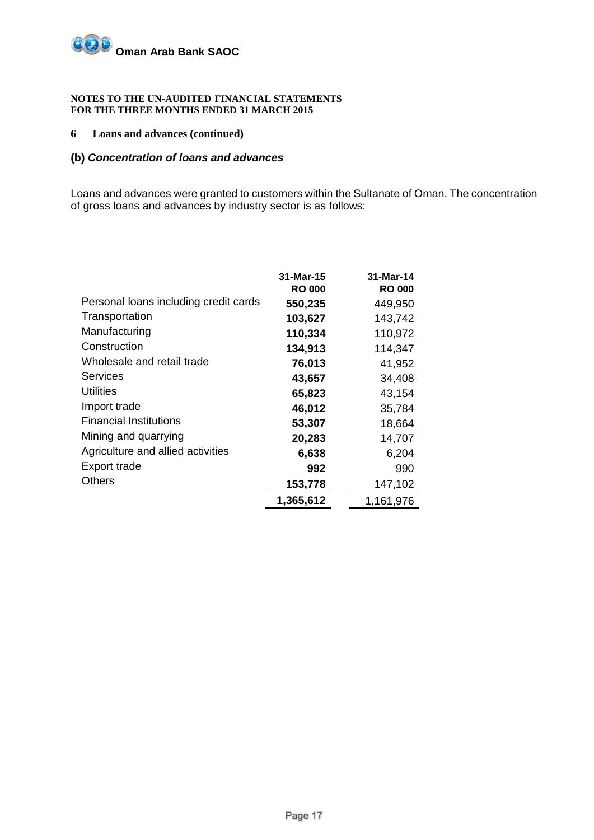

# **6 Loans and advances (continued)**

# **(b)** *Concentration of loans and advances*

Loans and advances were granted to customers within the Sultanate of Oman. The concentration of gross loans and advances by industry sector is as follows:

|                                       | 31-Mar-15<br><b>RO 000</b> | 31-Mar-14<br><b>RO 000</b> |
|---------------------------------------|----------------------------|----------------------------|
| Personal loans including credit cards | 550,235                    | 449,950                    |
| Transportation                        | 103,627                    | 143,742                    |
| Manufacturing                         | 110,334                    | 110,972                    |
| Construction                          | 134,913                    | 114,347                    |
| Wholesale and retail trade            | 76,013                     | 41,952                     |
| <b>Services</b>                       | 43,657                     | 34,408                     |
| <b>Utilities</b>                      | 65,823                     | 43,154                     |
| Import trade                          | 46,012                     | 35,784                     |
| <b>Financial Institutions</b>         | 53,307                     | 18,664                     |
| Mining and quarrying                  | 20,283                     | 14,707                     |
| Agriculture and allied activities     | 6,638                      | 6,204                      |
| <b>Export trade</b>                   | 992                        | 990                        |
| <b>Others</b>                         | 153,778                    | 147,102                    |
|                                       | 1,365,612                  | 1,161,976                  |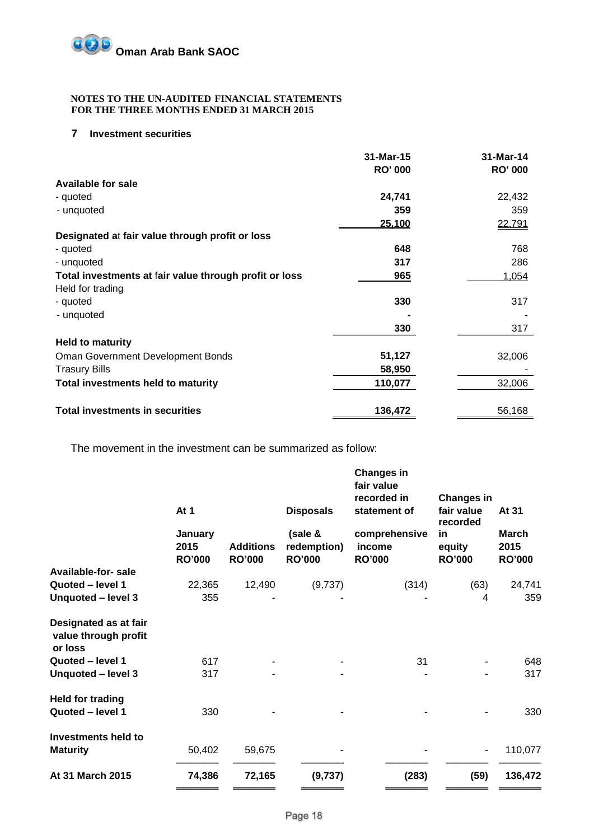

# **7 Investment securities**

|                                                        | 31-Mar-15      | 31-Mar-14      |
|--------------------------------------------------------|----------------|----------------|
|                                                        | <b>RO' 000</b> | <b>RO' 000</b> |
| <b>Available for sale</b>                              |                |                |
| - quoted                                               | 24,741         | 22,432         |
| - unquoted                                             | 359            | 359            |
|                                                        | 25,100         | 22,791         |
| Designated at fair value through profit or loss        |                |                |
| - quoted                                               | 648            | 768            |
| - unquoted                                             | 317            | 286            |
| Total investments at fair value through profit or loss | 965            | 1,054          |
| Held for trading                                       |                |                |
| - quoted                                               | 330            | 317            |
| - unquoted                                             |                |                |
|                                                        | 330            | 317            |
| <b>Held to maturity</b>                                |                |                |
| Oman Government Development Bonds                      | 51,127         | 32,006         |
| <b>Trasury Bills</b>                                   | 58,950         |                |
| <b>Total investments held to maturity</b>              | 110,077        | 32,006         |
| <b>Total investments in securities</b>                 |                |                |
|                                                        | 136,472        | 56,168         |

The movement in the investment can be summarized as follow:

|                                                          | At $1$                           |                                   | <b>Disposals</b>                        | <b>Changes in</b><br>fair value<br>recorded in<br>statement of | <b>Changes in</b><br>fair value<br>recorded | At 31                                 |
|----------------------------------------------------------|----------------------------------|-----------------------------------|-----------------------------------------|----------------------------------------------------------------|---------------------------------------------|---------------------------------------|
|                                                          | January<br>2015<br><b>RO'000</b> | <b>Additions</b><br><b>RO'000</b> | (sale &<br>redemption)<br><b>RO'000</b> | comprehensive<br>income<br><b>RO'000</b>                       | in.<br>equity<br><b>RO'000</b>              | <b>March</b><br>2015<br><b>RO'000</b> |
| Available-for-sale                                       |                                  |                                   |                                         |                                                                |                                             |                                       |
| Quoted - level 1                                         | 22,365                           | 12,490                            | (9,737)                                 | (314)                                                          | (63)                                        | 24,741                                |
| Unquoted - level 3                                       | 355                              |                                   |                                         |                                                                | 4                                           | 359                                   |
| Designated as at fair<br>value through profit<br>or loss |                                  |                                   |                                         |                                                                |                                             |                                       |
| Quoted - level 1                                         | 617                              |                                   |                                         | 31                                                             |                                             | 648                                   |
| Unquoted - level 3                                       | 317                              |                                   |                                         |                                                                |                                             | 317                                   |
| <b>Held for trading</b>                                  |                                  |                                   |                                         |                                                                |                                             |                                       |
| Quoted - level 1                                         | 330                              |                                   |                                         |                                                                |                                             | 330                                   |
| Investments held to<br><b>Maturity</b>                   | 50,402                           | 59,675                            |                                         |                                                                |                                             | 110,077                               |
| At 31 March 2015                                         | 74,386                           | 72,165                            | (9,737)                                 | (283)                                                          | (59)                                        | 136,472                               |
|                                                          |                                  |                                   |                                         |                                                                |                                             |                                       |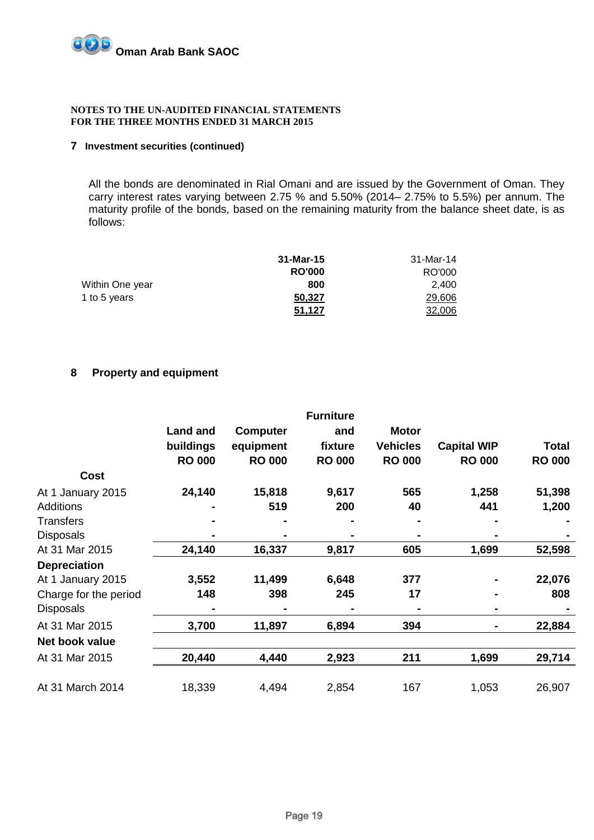

#### **7 Investment securities (continued)**

All the bonds are denominated in Rial Omani and are issued by the Government of Oman. They carry interest rates varying between 2.75 % and 5.50% (2014– 2.75% to 5.5%) per annum. The maturity profile of the bonds, based on the remaining maturity from the balance sheet date, is as follows:

|                 | 31-Mar-15     | 31-Mar-14 |
|-----------------|---------------|-----------|
|                 | <b>RO'000</b> | RO'000    |
| Within One year | 800           | 2.400     |
| 1 to 5 years    | 50,327        | 29,606    |
|                 | 51,127        | 32,006    |

# **8 Property and equipment**

|                 |                 | <b>Furniture</b> |                 |                    |               |
|-----------------|-----------------|------------------|-----------------|--------------------|---------------|
| <b>Land and</b> | <b>Computer</b> | and              | <b>Motor</b>    |                    |               |
| buildings       | equipment       | fixture          | <b>Vehicles</b> | <b>Capital WIP</b> | <b>Total</b>  |
| <b>RO 000</b>   | <b>RO 000</b>   | <b>RO 000</b>    | <b>RO 000</b>   | <b>RO 000</b>      | <b>RO 000</b> |
|                 |                 |                  |                 |                    |               |
| 24,140          | 15,818          | 9,617            | 565             | 1,258              | 51,398        |
|                 | 519             | 200              | 40              | 441                | 1,200         |
|                 |                 |                  |                 |                    |               |
|                 |                 |                  |                 |                    |               |
| 24,140          | 16,337          | 9,817            | 605             | 1,699              | 52,598        |
|                 |                 |                  |                 |                    |               |
| 3,552           | 11,499          | 6,648            | 377             |                    | 22,076        |
| 148             | 398             | 245              | 17              |                    | 808           |
|                 |                 |                  |                 |                    |               |
| 3,700           | 11,897          | 6,894            | 394             |                    | 22,884        |
|                 |                 |                  |                 |                    |               |
| 20,440          | 4,440           | 2,923            | 211             | 1,699              | 29,714        |
| 18,339          | 4,494           | 2,854            | 167             | 1,053              | 26,907        |
|                 |                 |                  |                 |                    |               |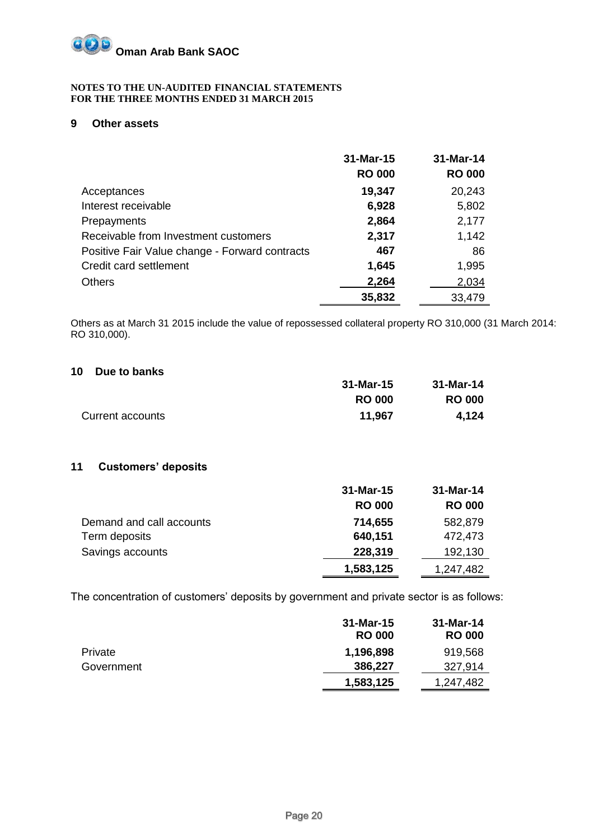

# **9 Other assets**

|                                                | 31-Mar-15     | 31-Mar-14     |
|------------------------------------------------|---------------|---------------|
|                                                | <b>RO 000</b> | <b>RO 000</b> |
| Acceptances                                    | 19,347        | 20,243        |
| Interest receivable                            | 6,928         | 5,802         |
| Prepayments                                    | 2,864         | 2,177         |
| Receivable from Investment customers           | 2,317         | 1,142         |
| Positive Fair Value change - Forward contracts | 467           | 86            |
| Credit card settlement                         | 1,645         | 1,995         |
| <b>Others</b>                                  | 2,264         | 2,034         |
|                                                | 35,832        | 33,479        |

Others as at March 31 2015 include the value of repossessed collateral property RO 310,000 (31 March 2014: RO 310,000).

#### **10 Due to banks**

| PUG IV DUIINJ    | 31-Mar-15     | 31-Mar-14     |
|------------------|---------------|---------------|
|                  | <b>RO 000</b> | <b>RO 000</b> |
| Current accounts | 11,967        | 4,124         |

# **11 Customers' deposits**

|                          | 31-Mar-15     | 31-Mar-14     |
|--------------------------|---------------|---------------|
|                          | <b>RO 000</b> | <b>RO 000</b> |
| Demand and call accounts | 714,655       | 582,879       |
| Term deposits            | 640,151       | 472,473       |
| Savings accounts         | 228,319       | 192,130       |
|                          | 1,583,125     | 1,247,482     |

The concentration of customers' deposits by government and private sector is as follows:

|            | 31-Mar-15<br><b>RO 000</b> | 31-Mar-14<br><b>RO 000</b> |
|------------|----------------------------|----------------------------|
| Private    | 1,196,898                  | 919,568                    |
| Government | 386,227                    | 327,914                    |
|            | 1,583,125                  | 1,247,482                  |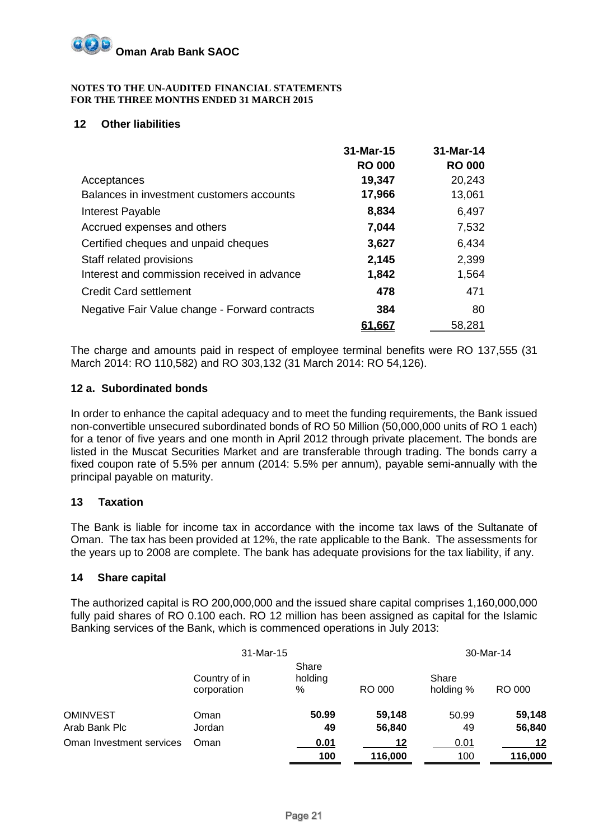

# **12 Other liabilities**

|                                                | 31-Mar-15     | 31-Mar-14     |
|------------------------------------------------|---------------|---------------|
|                                                | <b>RO 000</b> | <b>RO 000</b> |
| Acceptances                                    | 19,347        | 20,243        |
| Balances in investment customers accounts      | 17,966        | 13,061        |
| Interest Payable                               | 8,834         | 6,497         |
| Accrued expenses and others                    | 7,044         | 7,532         |
| Certified cheques and unpaid cheques           | 3,627         | 6,434         |
| Staff related provisions                       | 2,145         | 2,399         |
| Interest and commission received in advance    | 1,842         | 1,564         |
| <b>Credit Card settlement</b>                  | 478           | 471           |
| Negative Fair Value change - Forward contracts | 384           | 80            |
|                                                | 61.667        | 58,281        |

The charge and amounts paid in respect of employee terminal benefits were RO 137,555 (31 March 2014: RO 110,582) and RO 303,132 (31 March 2014: RO 54,126).

# **12 a. Subordinated bonds**

In order to enhance the capital adequacy and to meet the funding requirements, the Bank issued non-convertible unsecured subordinated bonds of RO 50 Million (50,000,000 units of RO 1 each) for a tenor of five years and one month in April 2012 through private placement. The bonds are listed in the Muscat Securities Market and are transferable through trading. The bonds carry a fixed coupon rate of 5.5% per annum (2014: 5.5% per annum), payable semi-annually with the principal payable on maturity.

# **13 Taxation**

The Bank is liable for income tax in accordance with the income tax laws of the Sultanate of Oman. The tax has been provided at 12%, the rate applicable to the Bank. The assessments for the years up to 2008 are complete. The bank has adequate provisions for the tax liability, if any.

# **14 Share capital**

The authorized capital is RO 200,000,000 and the issued share capital comprises 1,160,000,000 fully paid shares of RO 0.100 each. RO 12 million has been assigned as capital for the Islamic Banking services of the Bank, which is commenced operations in July 2013:

|                          | 31-Mar-15                    |                       |         | 30-Mar-14          |         |
|--------------------------|------------------------------|-----------------------|---------|--------------------|---------|
|                          | Country of in<br>corporation | Share<br>holding<br>% | RO 000  | Share<br>holding % | RO 000  |
| <b>OMINVEST</b>          | Oman                         | 50.99                 | 59,148  | 50.99              | 59,148  |
| Arab Bank Plc            | Jordan                       | 49                    | 56,840  | 49                 | 56,840  |
| Oman Investment services | Oman                         | 0.01                  | 12      | 0.01               | 12      |
|                          |                              | 100                   | 116,000 | 100                | 116,000 |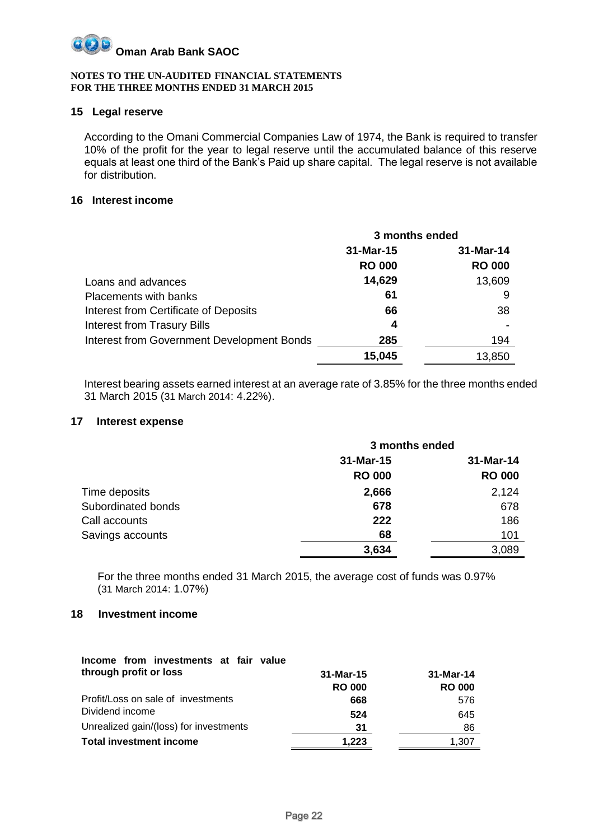

# **15 Legal reserve**

According to the Omani Commercial Companies Law of 1974, the Bank is required to transfer 10% of the profit for the year to legal reserve until the accumulated balance of this reserve equals at least one third of the Bank's Paid up share capital. The legal reserve is not available for distribution.

# **16 Interest income**

|                                            | 3 months ended |               |  |
|--------------------------------------------|----------------|---------------|--|
|                                            | 31-Mar-15      | 31-Mar-14     |  |
|                                            | <b>RO 000</b>  | <b>RO 000</b> |  |
| Loans and advances                         | 14,629         | 13,609        |  |
| Placements with banks                      | 61             | 9             |  |
| Interest from Certificate of Deposits      | 66             | 38            |  |
| <b>Interest from Trasury Bills</b>         | 4              |               |  |
| Interest from Government Development Bonds | 285            | 194           |  |
|                                            | 15,045         | 13,850        |  |

Interest bearing assets earned interest at an average rate of 3.85% for the three months ended 31 March 2015 (31 March 2014: 4.22%).

# **17 Interest expense**

|                    | 3 months ended |               |
|--------------------|----------------|---------------|
|                    | 31-Mar-15      | 31-Mar-14     |
|                    | <b>RO 000</b>  | <b>RO 000</b> |
| Time deposits      | 2,666          | 2,124         |
| Subordinated bonds | 678            | 678           |
| Call accounts      | 222            | 186           |
| Savings accounts   | 68             | 101           |
|                    | 3,634          | 3,089         |

For the three months ended 31 March 2015, the average cost of funds was 0.97% (31 March 2014: 1.07%)

# **18 Investment income**

# **Income from investments at fair value**

| through profit or loss                 | 31-Mar-15     | 31-Mar-14     |
|----------------------------------------|---------------|---------------|
|                                        | <b>RO 000</b> | <b>RO 000</b> |
| Profit/Loss on sale of investments     | 668           | 576           |
| Dividend income                        | 524           | 645           |
| Unrealized gain/(loss) for investments | 31            | 86            |
| <b>Total investment income</b>         | 1,223         | 1.307         |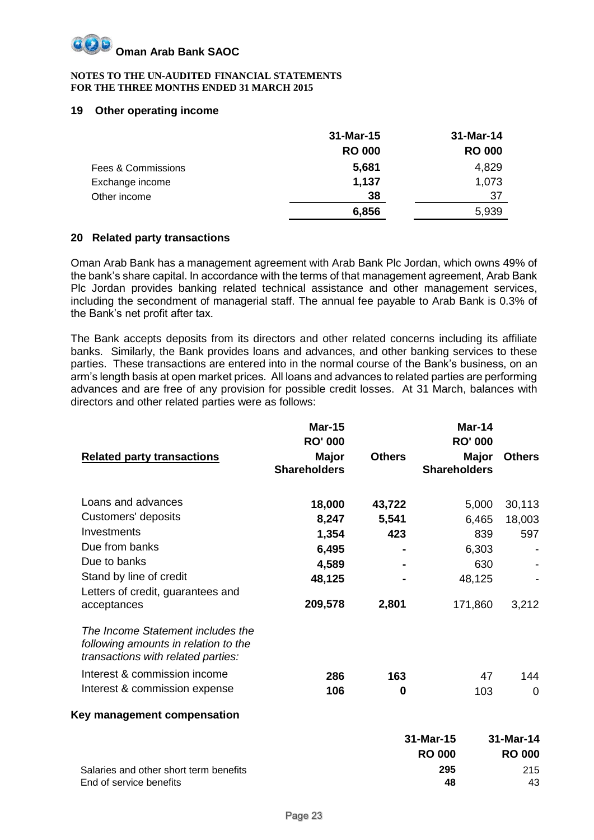#### **NOTES TO THE UN-AUDITED FINANCIAL STATEMENTS FOR THE THREE MONTHS ENDED 31 MARCH 2015**

# **19 Other operating income**

|                    | 31-Mar-15     | 31-Mar-14     |
|--------------------|---------------|---------------|
|                    | <b>RO 000</b> | <b>RO 000</b> |
| Fees & Commissions | 5,681         | 4,829         |
| Exchange income    | 1,137         | 1,073         |
| Other income       | 38            | 37            |
|                    | 6,856         | 5,939         |

# **20 Related party transactions**

Oman Arab Bank has a management agreement with Arab Bank Plc Jordan, which owns 49% of the bank's share capital. In accordance with the terms of that management agreement, Arab Bank Plc Jordan provides banking related technical assistance and other management services, including the secondment of managerial staff. The annual fee payable to Arab Bank is 0.3% of the Bank's net profit after tax.

The Bank accepts deposits from its directors and other related concerns including its affiliate banks. Similarly, the Bank provides loans and advances, and other banking services to these parties. These transactions are entered into in the normal course of the Bank's business, on an arm's length basis at open market prices. All loans and advances to related parties are performing advances and are free of any provision for possible credit losses. At 31 March, balances with directors and other related parties were as follows:

| <b>Related party transactions</b>                                          | <b>Mar-15</b><br><b>RO' 000</b><br><b>Major</b><br><b>Shareholders</b> | <b>Others</b> | Mar-14<br><b>RO' 000</b><br>Major<br><b>Shareholders</b> | <b>Others</b>              |
|----------------------------------------------------------------------------|------------------------------------------------------------------------|---------------|----------------------------------------------------------|----------------------------|
| Loans and advances                                                         | 18,000                                                                 | 43,722        | 5,000                                                    | 30,113                     |
| Customers' deposits                                                        | 8,247                                                                  | 5,541         | 6,465                                                    | 18,003                     |
| Investments                                                                | 1,354                                                                  | 423           | 839                                                      | 597                        |
| Due from banks                                                             | 6,495                                                                  |               | 6,303                                                    |                            |
| Due to banks                                                               | 4,589                                                                  |               | 630                                                      |                            |
| Stand by line of credit<br>Letters of credit, guarantees and               | 48,125                                                                 |               | 48,125                                                   |                            |
| acceptances<br>The Income Statement includes the                           | 209,578                                                                | 2,801         | 171,860                                                  | 3,212                      |
| following amounts in relation to the<br>transactions with related parties: |                                                                        |               |                                                          |                            |
| Interest & commission income                                               | 286                                                                    | 163           | 47                                                       | 144                        |
| Interest & commission expense                                              | 106                                                                    | 0             | 103                                                      | 0                          |
| Key management compensation                                                |                                                                        |               |                                                          |                            |
|                                                                            |                                                                        |               | 31-Mar-15<br><b>RO 000</b>                               | 31-Mar-14<br><b>RO 000</b> |
| Salaries and other short term benefits                                     |                                                                        |               | 295                                                      | 215                        |
| End of service benefits                                                    |                                                                        |               | 48                                                       | 43                         |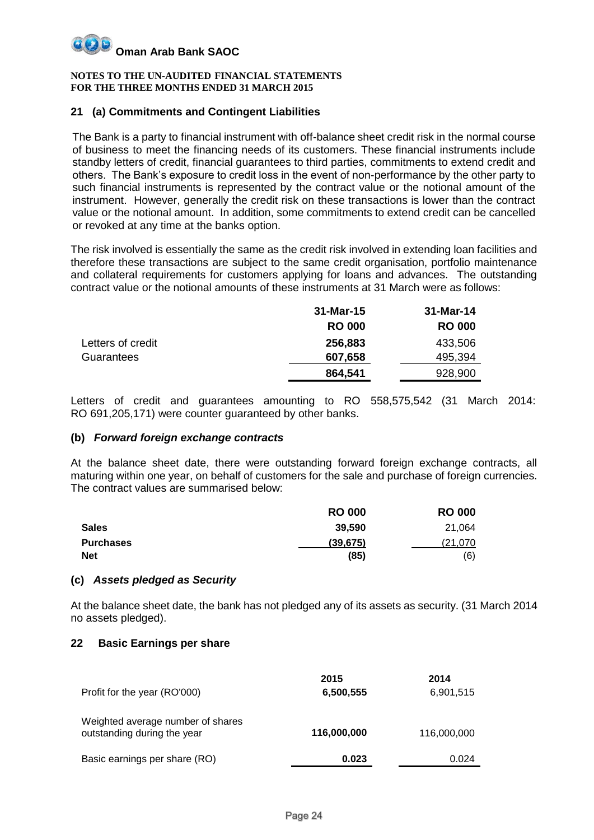# **21 (a) Commitments and Contingent Liabilities**

The Bank is a party to financial instrument with off-balance sheet credit risk in the normal course of business to meet the financing needs of its customers. These financial instruments include standby letters of credit, financial guarantees to third parties, commitments to extend credit and others. The Bank's exposure to credit loss in the event of non-performance by the other party to such financial instruments is represented by the contract value or the notional amount of the instrument. However, generally the credit risk on these transactions is lower than the contract value or the notional amount. In addition, some commitments to extend credit can be cancelled or revoked at any time at the banks option.

The risk involved is essentially the same as the credit risk involved in extending loan facilities and therefore these transactions are subject to the same credit organisation, portfolio maintenance and collateral requirements for customers applying for loans and advances. The outstanding contract value or the notional amounts of these instruments at 31 March were as follows:

|                   | 31-Mar-15     | 31-Mar-14     |
|-------------------|---------------|---------------|
|                   | <b>RO 000</b> | <b>RO 000</b> |
| Letters of credit | 256,883       | 433,506       |
| Guarantees        | 607,658       | 495,394       |
|                   | 864,541       | 928,900       |

Letters of credit and guarantees amounting to RO 558,575,542 (31 March 2014: RO 691,205,171) were counter guaranteed by other banks.

# **(b)** *Forward foreign exchange contracts*

At the balance sheet date, there were outstanding forward foreign exchange contracts, all maturing within one year, on behalf of customers for the sale and purchase of foreign currencies. The contract values are summarised below:

|                  | <b>RO 000</b> | <b>RO 000</b> |
|------------------|---------------|---------------|
| <b>Sales</b>     | 39,590        | 21.064        |
| <b>Purchases</b> | (39, 675)     | (21.070       |
| <b>Net</b>       | (85)          | (6)           |

# **(c)** *Assets pledged as Security*

At the balance sheet date, the bank has not pledged any of its assets as security. (31 March 2014 no assets pledged).

# **22 Basic Earnings per share**

| Profit for the year (RO'000)                                     | 2015<br>6,500,555 | 2014<br>6,901,515 |
|------------------------------------------------------------------|-------------------|-------------------|
| Weighted average number of shares<br>outstanding during the year | 116,000,000       | 116,000,000       |
| Basic earnings per share (RO)                                    | 0.023             | 0.024             |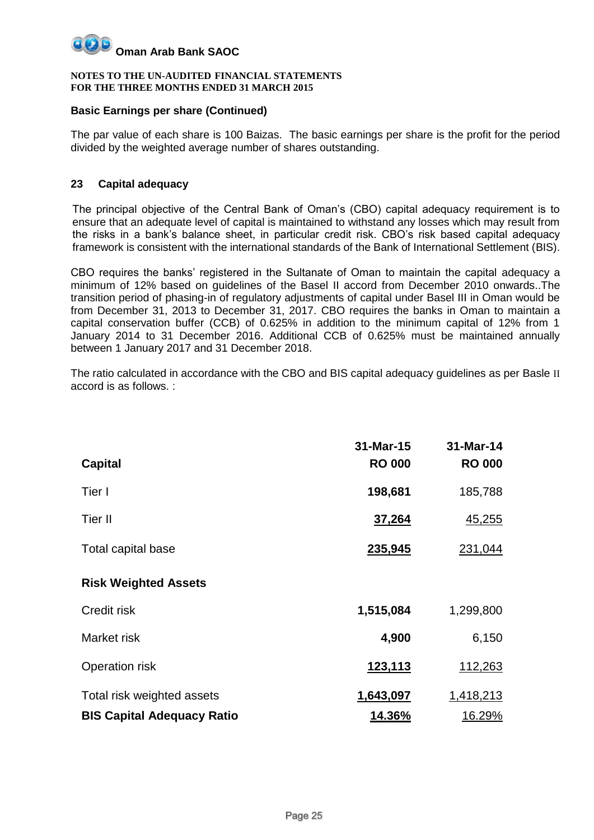#### **NOTES TO THE UN-AUDITED FINANCIAL STATEMENTS FOR THE THREE MONTHS ENDED 31 MARCH 2015**

# **Basic Earnings per share (Continued)**

The par value of each share is 100 Baizas. The basic earnings per share is the profit for the period divided by the weighted average number of shares outstanding.

# **23 Capital adequacy**

The principal objective of the Central Bank of Oman's (CBO) capital adequacy requirement is to ensure that an adequate level of capital is maintained to withstand any losses which may result from the risks in a bank's balance sheet, in particular credit risk. CBO's risk based capital adequacy framework is consistent with the international standards of the Bank of International Settlement (BIS).

CBO requires the banks' registered in the Sultanate of Oman to maintain the capital adequacy a minimum of 12% based on guidelines of the Basel II accord from December 2010 onwards..The transition period of phasing-in of regulatory adjustments of capital under Basel III in Oman would be from December 31, 2013 to December 31, 2017. CBO requires the banks in Oman to maintain a capital conservation buffer (CCB) of 0.625% in addition to the minimum capital of 12% from 1 January 2014 to 31 December 2016. Additional CCB of 0.625% must be maintained annually between 1 January 2017 and 31 December 2018.

The ratio calculated in accordance with the CBO and BIS capital adequacy guidelines as per Basle II accord is as follows. :

| <b>Capital</b>                    | 31-Mar-15<br><b>RO 000</b> | 31-Mar-14<br><b>RO 000</b> |
|-----------------------------------|----------------------------|----------------------------|
| Tier I                            | 198,681                    | 185,788                    |
| Tier II                           | 37,264                     | <u>45,255</u>              |
| Total capital base                | 235,945                    | 231,044                    |
| <b>Risk Weighted Assets</b>       |                            |                            |
| Credit risk                       | 1,515,084                  | 1,299,800                  |
| Market risk                       | 4,900                      | 6,150                      |
| Operation risk                    | 123,113                    | 112,263                    |
| Total risk weighted assets        | 1,643,097                  | 1,418,213                  |
| <b>BIS Capital Adequacy Ratio</b> | 14.36%                     | 16.29%                     |